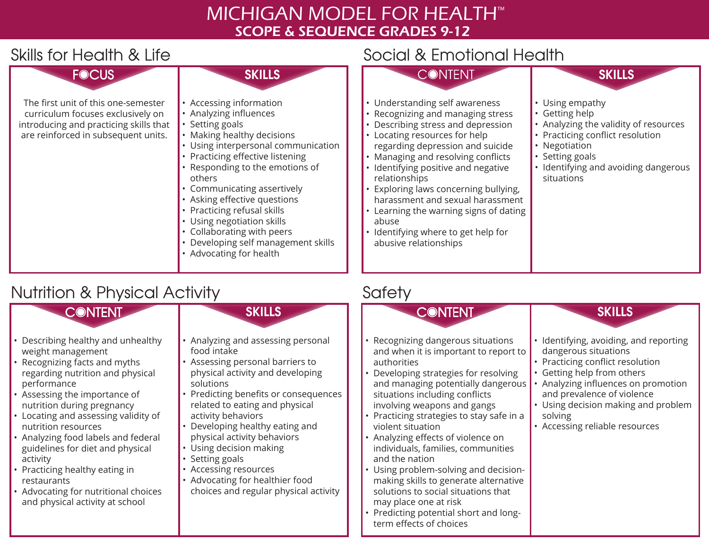# MICHIGAN MODEL FOR HEALTH™ SCOPE & SEQUENCE GRADES 9-12

### Skills for Health & Life Social & Emotional Health



# Nutrition & Physical Activity



- 
- Describing healthy and unhealthy weight management
- Recognizing facts and myths regarding nutrition and physical performance
- Assessing the importance of nutrition during pregnancy
- Locating and assessing validity of nutrition resources
- Analyzing food labels and federal guidelines for diet and physical activity
- Practicing healthy eating in restaurants
- Advocating for nutritional choices and physical activity at school

#### **SKILLS**

- Analyzing and assessing personal food intake
- Assessing personal barriers to physical activity and developing solutions
- Predicting benefits or consequences related to eating and physical activity behaviors
- Developing healthy eating and physical activity behaviors
- Using decision making • Setting goals
- Accessing resources
- Advocating for healthier food choices and regular physical activity

# **Safety**



- Recognizing dangerous situations and when it is important to report to authorities
- Developing strategies for resolving and managing potentially dangerous situations including conflicts involving weapons and gangs
- Practicing strategies to stay safe in a violent situation
- Analyzing effects of violence on individuals, families, communities and the nation
- Using problem-solving and decisionmaking skills to generate alternative solutions to social situations that may place one at risk
- Predicting potential short and longterm effects of choices

#### **SKILLS**

- Identifying, avoiding, and reporting dangerous situations
- Practicing conflict resolution
- Getting help from others
- Analyzing influences on promotion and prevalence of violence
- Using decision making and problem solving
- Accessing reliable resources